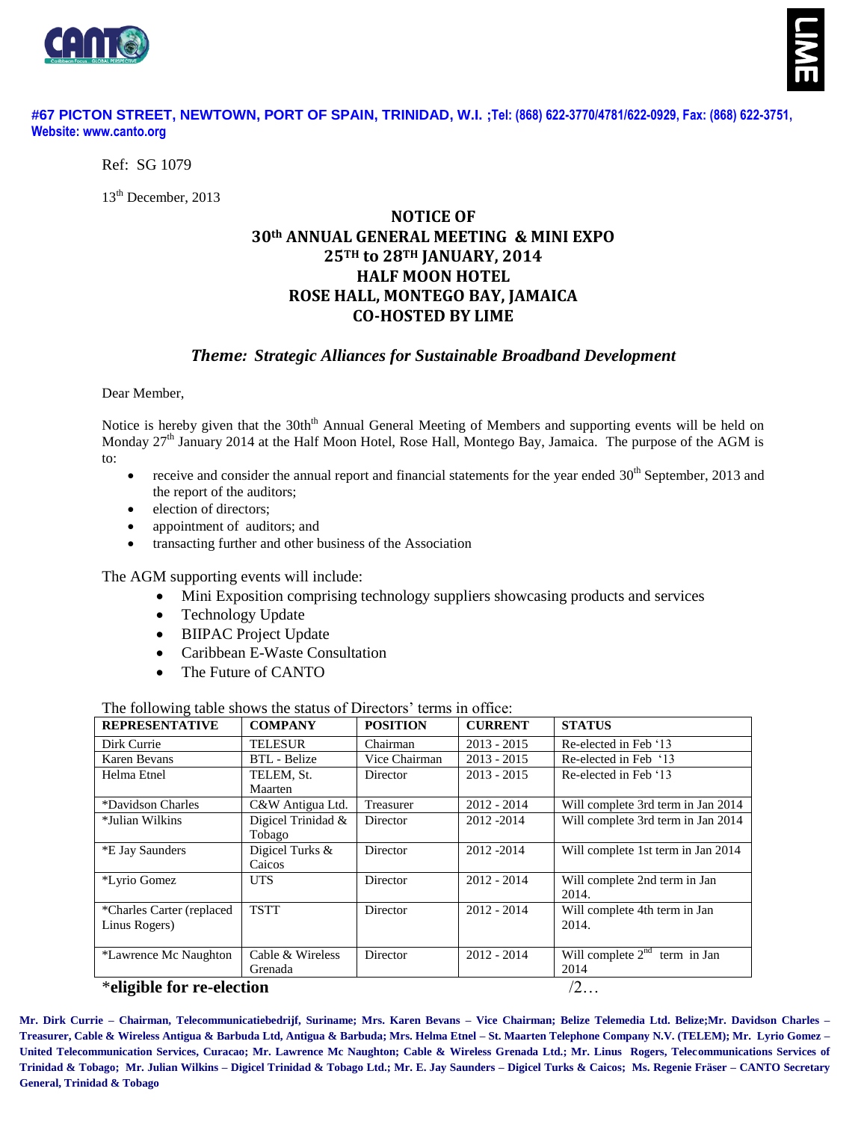



## **#67 PICTON STREET, NEWTOWN, PORT OF SPAIN, TRINIDAD, W.I. ;Tel: (868) 622-3770/4781/622-0929, Fax: (868) 622-3751, Website: www.canto.org**

Ref: SG 1079

13<sup>th</sup> December, 2013

# **NOTICE OF 30th ANNUAL GENERAL MEETING & MINI EXPO 25TH to 28TH JANUARY, 2014 HALF MOON HOTEL ROSE HALL, MONTEGO BAY, JAMAICA CO-HOSTED BY LIME**

## *Theme: Strategic Alliances for Sustainable Broadband Development*

Dear Member,

Notice is hereby given that the 30th<sup>th</sup> Annual General Meeting of Members and supporting events will be held on Monday 27<sup>th</sup> January 2014 at the Half Moon Hotel, Rose Hall, Montego Bay, Jamaica. The purpose of the AGM is to:

- receive and consider the annual report and financial statements for the year ended 30<sup>th</sup> September, 2013 and the report of the auditors;
- election of directors;
- appointment of auditors; and
- transacting further and other business of the Association

The AGM supporting events will include:

- Mini Exposition comprising technology suppliers showcasing products and services
- Technology Update
- BIIPAC Project Update
- Caribbean E-Waste Consultation
- The Future of CANTO

The following table shows the status of Directors' terms in office:

| <b>REPRESENTATIVE</b>      | <b>COMPANY</b>      | <b>POSITION</b> | <b>CURRENT</b> | <b>STATUS</b>                                 |
|----------------------------|---------------------|-----------------|----------------|-----------------------------------------------|
| Dirk Currie                | <b>TELESUR</b>      | Chairman        | $2013 - 2015$  | Re-elected in Feb '13                         |
| Karen Bevans               | <b>BTL</b> - Belize | Vice Chairman   | $2013 - 2015$  | Re-elected in Feb '13                         |
| Helma Etnel                | TELEM, St.          | Director        | $2013 - 2015$  | Re-elected in Feb '13                         |
|                            | Maarten             |                 |                |                                               |
| *Davidson Charles          | C&W Antigua Ltd.    | Treasurer       | 2012 - 2014    | Will complete 3rd term in Jan 2014            |
| *Julian Wilkins            | Digicel Trinidad &  | Director        | 2012 - 2014    | Will complete 3rd term in Jan 2014            |
|                            | Tobago              |                 |                |                                               |
| *E Jay Saunders            | Digicel Turks &     | Director        | 2012-2014      | Will complete 1st term in Jan 2014            |
|                            | Caicos              |                 |                |                                               |
| *Lyrio Gomez               | UTS.                | Director        | $2012 - 2014$  | Will complete 2nd term in Jan                 |
|                            |                     |                 |                | 2014.                                         |
| *Charles Carter (replaced) | <b>TSTT</b>         | Director        | $2012 - 2014$  | Will complete 4th term in Jan                 |
| Linus Rogers)              |                     |                 |                | 2014.                                         |
|                            |                     |                 |                |                                               |
| *Lawrence Mc Naughton      | Cable & Wireless    | Director        | $2012 - 2014$  | Will complete $2^{\overline{nd}}$ term in Jan |
|                            | Grenada             |                 |                | 2014                                          |

### \***eligible for re-election** /2…

**Mr. Dirk Currie – Chairman, Telecommunicatiebedrijf, Suriname; Mrs. Karen Bevans – Vice Chairman; Belize Telemedia Ltd. Belize;Mr. Davidson Charles – Treasurer, Cable & Wireless Antigua & Barbuda Ltd, Antigua & Barbuda; Mrs. Helma Etnel – St. Maarten Telephone Company N.V. (TELEM); Mr. Lyrio Gomez – United Telecommunication Services, Curacao; Mr. Lawrence Mc Naughton; Cable & Wireless Grenada Ltd.; Mr. Linus Rogers, Telecommunications Services of Trinidad & Tobago; Mr. Julian Wilkins – Digicel Trinidad & Tobago Ltd.; Mr. E. Jay Saunders – Digicel Turks & Caicos; Ms. Regenie Fräser – CANTO Secretary General, Trinidad & Tobago**